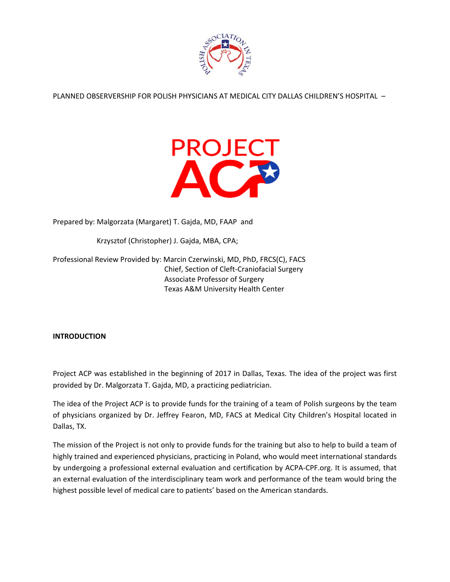

PLANNED OBSERVERSHIP FOR POLISH PHYSICIANS AT MEDICAL CITY DALLAS CHILDREN'S HOSPITAL –



Prepared by: Malgorzata (Margaret) T. Gajda, MD, FAAP and

Krzysztof (Christopher) J. Gajda, MBA, CPA;

Professional Review Provided by: Marcin Czerwinski, MD, PhD, FRCS(C), FACS Chief, Section of Cleft‐Craniofacial Surgery Associate Professor of Surgery Texas A&M University Health Center

**INTRODUCTION**

Project ACP was established in the beginning of 2017 in Dallas, Texas. The idea of the project was first provided by Dr. Malgorzata T. Gajda, MD, a practicing pediatrician.

The idea of the Project ACP is to provide funds for the training of a team of Polish surgeons by the team of physicians organized by Dr. Jeffrey Fearon, MD, FACS at Medical City Children's Hospital located in Dallas, TX.

The mission of the Project is not only to provide funds for the training but also to help to build a team of highly trained and experienced physicians, practicing in Poland, who would meet international standards by undergoing a professional external evaluation and certification by ACPA‐CPF.org. It is assumed, that an external evaluation of the interdisciplinary team work and performance of the team would bring the highest possible level of medical care to patients' based on the American standards.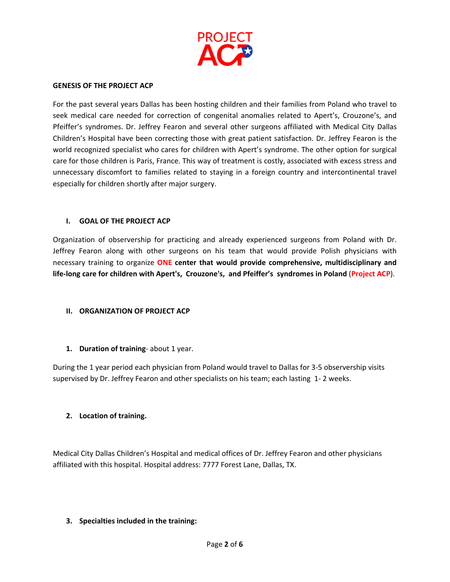

#### **GENESIS OF THE PROJECT ACP**

For the past several years Dallas has been hosting children and their families from Poland who travel to seek medical care needed for correction of congenital anomalies related to Apert's, Crouzone's, and Pfeiffer's syndromes. Dr. Jeffrey Fearon and several other surgeons affiliated with Medical City Dallas Children's Hospital have been correcting those with great patient satisfaction. Dr. Jeffrey Fearon is the world recognized specialist who cares for children with Apert's syndrome. The other option for surgical care for those children is Paris, France. This way of treatment is costly, associated with excess stress and unnecessary discomfort to families related to staying in a foreign country and intercontinental travel especially for children shortly after major surgery.

#### **I. GOAL OF THE PROJECT ACP**

Organization of observership for practicing and already experienced surgeons from Poland with Dr. Jeffrey Fearon along with other surgeons on his team that would provide Polish physicians with necessary training to organize **ONE center that would provide comprehensive, multidisciplinary and** life-long care for children with Apert's, Crouzone's, and Pfeiffer's syndromes in Poland (Project ACP).

## **II. ORGANIZATION OF PROJECT ACP**

## **1. Duration of training**‐ about 1 year.

During the 1 year period each physician from Poland would travel to Dallas for 3‐5 observership visits supervised by Dr. Jeffrey Fearon and other specialists on his team; each lasting 1‐ 2 weeks.

## **2. Location of training.**

Medical City Dallas Children's Hospital and medical offices of Dr. Jeffrey Fearon and other physicians affiliated with this hospital. Hospital address: 7777 Forest Lane, Dallas, TX.

## **3. Specialties included in the training:**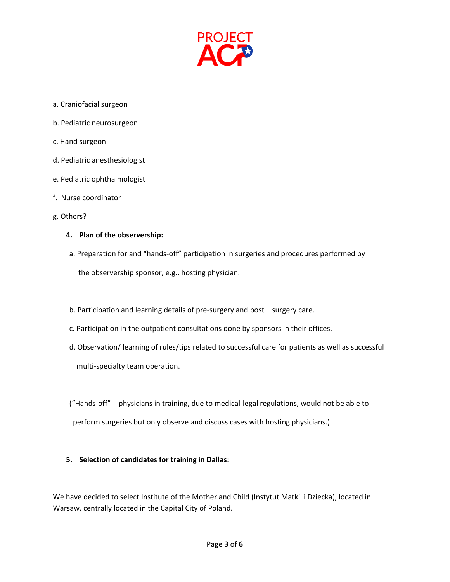

- a. Craniofacial surgeon
- b. Pediatric neurosurgeon
- c. Hand surgeon
- d. Pediatric anesthesiologist
- e. Pediatric ophthalmologist
- f. Nurse coordinator
- g. Others?

#### **4. Plan of the observership:**

- a. Preparation for and "hands‐off" participation in surgeries and procedures performed by the observership sponsor, e.g., hosting physician.
- b. Participation and learning details of pre‐surgery and post surgery care.
- c. Participation in the outpatient consultations done by sponsors in their offices.
- d. Observation/ learning of rules/tips related to successful care for patients as well as successful multi‐specialty team operation.

 ("Hands‐off" ‐ physicians in training, due to medical‐legal regulations, would not be able to perform surgeries but only observe and discuss cases with hosting physicians.)

## **5. Selection of candidates for training in Dallas:**

We have decided to select Institute of the Mother and Child (Instytut Matki i Dziecka), located in Warsaw, centrally located in the Capital City of Poland.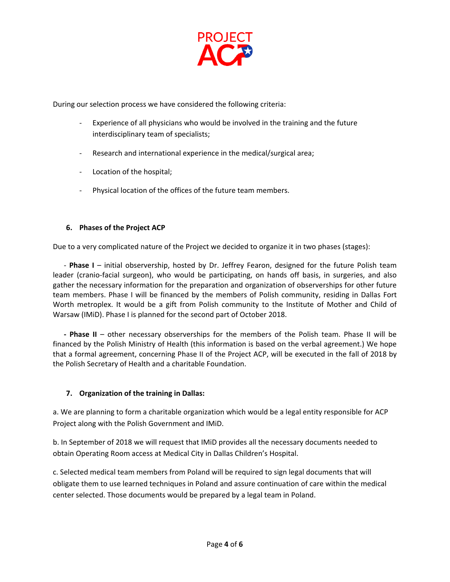

During our selection process we have considered the following criteria:

- ‐ Experience of all physicians who would be involved in the training and the future interdisciplinary team of specialists;
- ‐ Research and international experience in the medical/surgical area;
- ‐ Location of the hospital;
- ‐ Physical location of the offices of the future team members.

# **6. Phases of the Project ACP**

Due to a very complicated nature of the Project we decided to organize it in two phases (stages):

 ‐ **Phase I** – initial observership, hosted by Dr. Jeffrey Fearon, designed for the future Polish team leader (cranio‐facial surgeon), who would be participating, on hands off basis, in surgeries, and also gather the necessary information for the preparation and organization of observerships for other future team members. Phase I will be financed by the members of Polish community, residing in Dallas Fort Worth metroplex. It would be a gift from Polish community to the Institute of Mother and Child of Warsaw (IMiD). Phase I is planned for the second part of October 2018.

 **‐ Phase II** – other necessary observerships for the members of the Polish team. Phase II will be financed by the Polish Ministry of Health (this information is based on the verbal agreement.) We hope that a formal agreement, concerning Phase II of the Project ACP, will be executed in the fall of 2018 by the Polish Secretary of Health and a charitable Foundation.

# **7. Organization of the training in Dallas:**

a. We are planning to form a charitable organization which would be a legal entity responsible for ACP Project along with the Polish Government and IMiD.

b. In September of 2018 we will request that IMiD provides all the necessary documents needed to obtain Operating Room access at Medical City in Dallas Children's Hospital.

c. Selected medical team members from Poland will be required to sign legal documents that will obligate them to use learned techniques in Poland and assure continuation of care within the medical center selected. Those documents would be prepared by a legal team in Poland.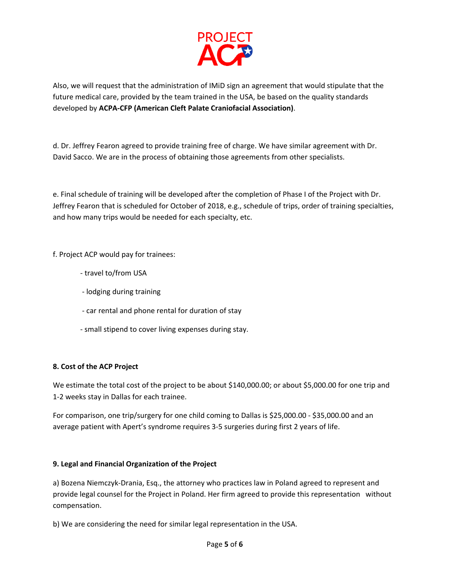

Also, we will request that the administration of IMiD sign an agreement that would stipulate that the future medical care, provided by the team trained in the USA, be based on the quality standards developed by **ACPA‐CFP (American Cleft Palate Craniofacial Association)**.

d. Dr. Jeffrey Fearon agreed to provide training free of charge. We have similar agreement with Dr. David Sacco. We are in the process of obtaining those agreements from other specialists.

e. Final schedule of training will be developed after the completion of Phase I of the Project with Dr. Jeffrey Fearon that is scheduled for October of 2018, e.g., schedule of trips, order of training specialties, and how many trips would be needed for each specialty, etc.

f. Project ACP would pay for trainees:

- ‐ travel to/from USA
- ‐ lodging during training
- ‐ car rental and phone rental for duration of stay
- ‐ small stipend to cover living expenses during stay.

## **8. Cost of the ACP Project**

We estimate the total cost of the project to be about \$140,000.00; or about \$5,000.00 for one trip and 1‐2 weeks stay in Dallas for each trainee.

For comparison, one trip/surgery for one child coming to Dallas is \$25,000.00 ‐ \$35,000.00 and an average patient with Apert's syndrome requires 3‐5 surgeries during first 2 years of life.

## **9. Legal and Financial Organization of the Project**

a) Bozena Niemczyk‐Drania, Esq., the attorney who practices law in Poland agreed to represent and provide legal counsel for the Project in Poland. Her firm agreed to provide this representation without compensation.

b) We are considering the need for similar legal representation in the USA.